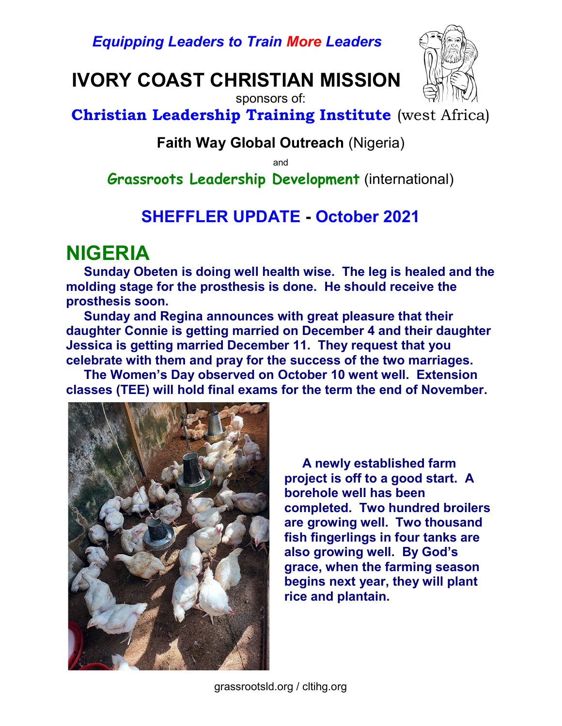Equipping Leaders to Train More Leaders

## IVORY COAST CHRISTIAN MISSION



sponsors of:

Christian Leadership Training Institute (west Africa)

#### Faith Way Global Outreach (Nigeria)

and

Grassroots Leadership Development (international)

#### SHEFFLER UPDATE - October 2021

### NIGERIA

 Sunday Obeten is doing well health wise. The leg is healed and the molding stage for the prosthesis is done. He should receive the prosthesis soon.

 Sunday and Regina announces with great pleasure that their daughter Connie is getting married on December 4 and their daughter Jessica is getting married December 11. They request that you celebrate with them and pray for the success of the two marriages.

 The Women's Day observed on October 10 went well. Extension classes (TEE) will hold final exams for the term the end of November.



 A newly established farm project is off to a good start. A borehole well has been completed. Two hundred broilers are growing well. Two thousand fish fingerlings in four tanks are also growing well. By God's grace, when the farming season begins next year, they will plant rice and plantain.